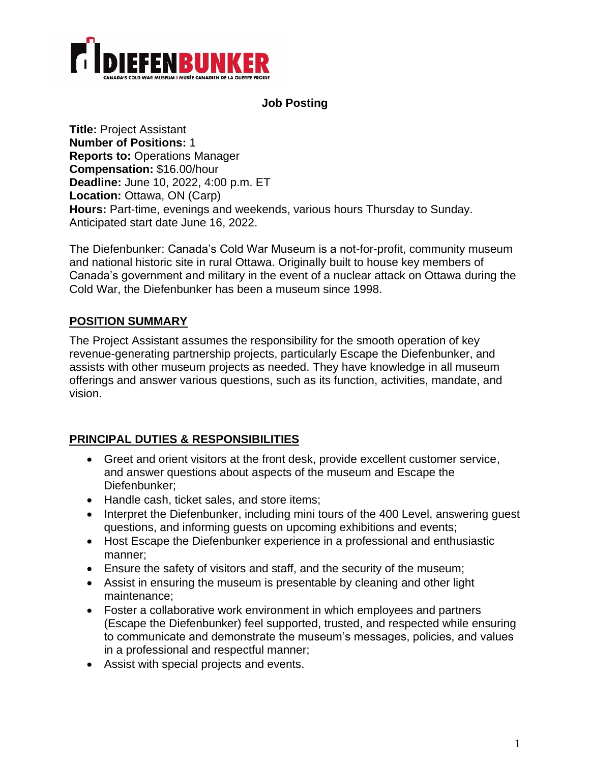

#### **Job Posting**

**Title:** Project Assistant **Number of Positions:** 1 **Reports to:** Operations Manager **Compensation:** \$16.00/hour **Deadline:** June 10, 2022, 4:00 p.m. ET Location: Ottawa, ON (Carp) **Hours:** Part-time, evenings and weekends, various hours Thursday to Sunday. Anticipated start date June 16, 2022.

The Diefenbunker: Canada's Cold War Museum is a not-for-profit, community museum and national historic site in rural Ottawa. Originally built to house key members of Canada's government and military in the event of a nuclear attack on Ottawa during the Cold War, the Diefenbunker has been a museum since 1998.

## **POSITION SUMMARY**

The Project Assistant assumes the responsibility for the smooth operation of key revenue-generating partnership projects, particularly Escape the Diefenbunker, and assists with other museum projects as needed. They have knowledge in all museum offerings and answer various questions, such as its function, activities, mandate, and vision.

### **PRINCIPAL DUTIES & RESPONSIBILITIES**

- Greet and orient visitors at the front desk, provide excellent customer service, and answer questions about aspects of the museum and Escape the Diefenbunker;
- Handle cash, ticket sales, and store items;
- Interpret the Diefenbunker, including mini tours of the 400 Level, answering guest questions, and informing guests on upcoming exhibitions and events;
- Host Escape the Diefenbunker experience in a professional and enthusiastic manner;
- Ensure the safety of visitors and staff, and the security of the museum;
- Assist in ensuring the museum is presentable by cleaning and other light maintenance;
- Foster a collaborative work environment in which employees and partners (Escape the Diefenbunker) feel supported, trusted, and respected while ensuring to communicate and demonstrate the museum's messages, policies, and values in a professional and respectful manner;
- Assist with special projects and events.